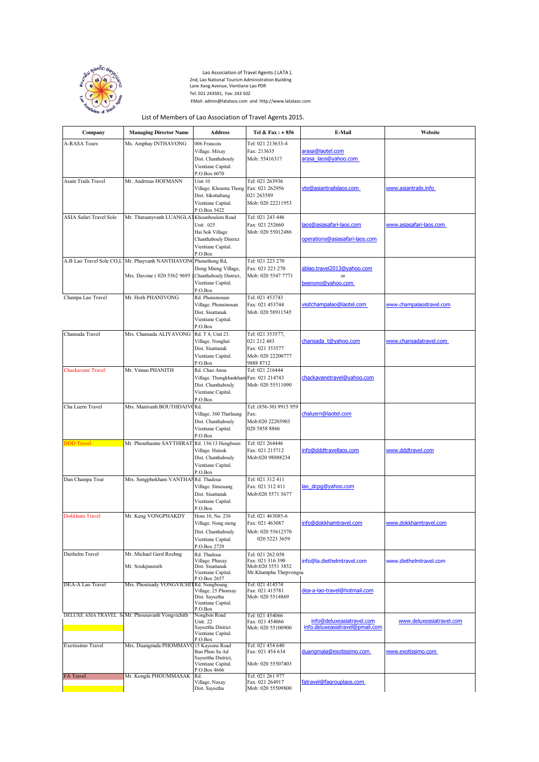

- F

Lao Association of Travel Agents ( LATA ).<br>  $\begin{pmatrix} 2^5 & 2^5 \\ 2^5 & 2^5 \end{pmatrix}$  2nd, Lao National Tourism Administration Building<br>
Lane Xang Avenue, Vientiane Lao PDR Tel: 021 243501, Fax: 243 502  $\mathcal{E} = \{ \mathbf{A} \mid \mathbf{A} \}$   $\mathcal{E}$  EMail: admin@latalaos.com and http://www.latalaos.com

h

## List of Members of Lao Association of Travel Agents 2015.

| Company                        | <b>Managing Director Name</b>                   | <b>Address</b>                         | Tel & Fax: + 856                      | <b>E-Mail</b>                   | Website                  |
|--------------------------------|-------------------------------------------------|----------------------------------------|---------------------------------------|---------------------------------|--------------------------|
| A-RASA Tours                   | Ms. Amphay INTHAVONG                            | 006 Francois                           | Tel: 021 213633-4                     |                                 |                          |
|                                |                                                 | Village. Mixay                         | Fax: 213635                           | arasa@laotel.com                |                          |
|                                |                                                 | Dist. Chanthabouly                     | Mob: 55416317                         | arasa laos@yahoo.com            |                          |
|                                |                                                 | Vientiane Capital.                     |                                       |                                 |                          |
|                                |                                                 | P.O.Box 6070                           |                                       |                                 |                          |
| Asain Trails Travel            | Mr. Andrreas HOFMANN                            | Unit 10                                | Tel: 021 263936                       |                                 |                          |
|                                |                                                 | Village. Khounta Thong Fax: 021 262956 |                                       | vte@asiantrailslaos.com         | www.asiantrails.info     |
|                                |                                                 | Dist. Sikottabang                      | 021 263589                            |                                 |                          |
|                                |                                                 | Vientiane Capital.                     | Mob: 020 22211953                     |                                 |                          |
| <b>ASIA Safari Travel Sole</b> |                                                 | P.O.Box 5422<br>Khounboulom Road       | Tel: 021 243 446                      |                                 |                          |
|                                | Mr. Thatsanyvanh LUANGLA                        | Unit . 025                             | Fax: 021 252660                       | laos@asiasafari-laos.com        | www.asiasafari-laos.com  |
|                                |                                                 | Hai Sok Village                        | Mob: 020 55012486                     |                                 |                          |
|                                |                                                 | Chanthabouly District                  |                                       | operations@asiasafari-laos.com  |                          |
|                                |                                                 | Vientiane Capital.                     |                                       |                                 |                          |
|                                |                                                 | P.O.Box                                |                                       |                                 |                          |
|                                | A.B Lao Travel Sole CO,L Mr. Phayvanh NANTHAVON | Phonethong Rd,                         | Tel: 021 223 270                      |                                 |                          |
|                                |                                                 | Dong Mieng Village,                    | Fax: 021 223 270                      | ablao.travel2013@yahoo.com      |                          |
|                                | Mrs. Davone (020 5562 9695                      | Chanthabouly District,                 | Mob: 020 5547 7771                    | or                              |                          |
|                                |                                                 | Vientiane Capital.<br>P.O.Box          |                                       | beenono@yahoo.com               |                          |
| Champa Lao Travel              | Mr. Hoth PHANIVONG                              | Rd. Phonsinouan                        | Tel: 021 453743                       |                                 |                          |
|                                |                                                 | Village. Phonsinouan                   | Fax: 021 453744                       | visitchampalao@laotel.com       | www.champalaostravel.com |
|                                |                                                 | Dist. Sisattanak                       | Mob. 020 58911545                     |                                 |                          |
|                                |                                                 | Vientiane Capital.                     |                                       |                                 |                          |
|                                |                                                 | P.O.Box                                |                                       |                                 |                          |
| Chansada Travel                | Mrs. Chansada ALIYAVONG                         | Rd. T 4; Unit 23.                      | Tel: 021 353577;                      |                                 |                          |
|                                |                                                 | Village. Nonghai                       | 021 212 483                           | chansada_t@yahoo.com            | www.chansadatravel.com   |
|                                |                                                 | Dist. Sisattanak                       | Fax: 021 353577<br>Mob: 020 22200777  |                                 |                          |
|                                |                                                 | Vientiane Capital.<br>P.O.Box          | 9888 8712                             |                                 |                          |
| <b>Chackavane Travel</b>       | Mr. Viman PHANITH                               | Rd. Chao Anou                          | Tel: 021 216444                       |                                 |                          |
|                                |                                                 | Village. Thongkhankham                 | Fax: 021 214743                       | chackavanetravel@yahoo.com      |                          |
|                                |                                                 | Dist. Chanthabouly                     | Mob: 020 55511090                     |                                 |                          |
|                                |                                                 | Vientiane Capital.                     |                                       |                                 |                          |
|                                |                                                 | P.O.Box                                |                                       |                                 |                          |
| Cha Luern Travel               | Mrs. Manivanh BOUTHDAIV                         | Rd.                                    | Tel: (856-30) 9915 959                |                                 |                          |
|                                |                                                 | Village. 360 Thatlaung                 | Fax:                                  | chaluern@laotel.com             |                          |
|                                |                                                 | Dist. Chanthabouly                     | Mob:020 22203903                      |                                 |                          |
|                                |                                                 | Vientiane Capital.<br>P.O.Box          | 020 5858 8866                         |                                 |                          |
| <b>DDD</b> Travel              | Mr. Phouthasine SAYTHIRAT Rd. 136/13 Hengboun   |                                        | Tel: 021 264446                       |                                 |                          |
|                                |                                                 | Village. Haisok                        | Fax: 021 215712                       | info@dddtravellaos.com          | www.dddtravel.com        |
|                                |                                                 | Dist. Chanthabouly                     | Mob:020 98888234                      |                                 |                          |
|                                |                                                 | Vientiane Capital.                     |                                       |                                 |                          |
|                                |                                                 | P.O.Box                                |                                       |                                 |                          |
| Dan Champa Tour                | Mrs. Sengphokham VANTHANRd. Thadeua             |                                        | Tel: 021 312 411                      |                                 |                          |
|                                |                                                 | Village. Simeuang                      | Fax: 021 312 411                      | lao_dcpg@yahoo.com              |                          |
|                                |                                                 | Dist. Sisattanak<br>Vientiane Capital. | Mob:020 5571 5677                     |                                 |                          |
|                                |                                                 | P.O.Box                                |                                       |                                 |                          |
| <b>Dokkham Travel</b>          | Mr. Keng VONGPHAKDY                             | Hom 10, No. 236                        | Tel: 021 463085-6                     |                                 |                          |
|                                |                                                 | Village. Nong nieng                    | Fax: 021 463087                       | info@dokkhamtravel.com          | www.dokkhamtravel.com    |
|                                |                                                 | Dist. Chanthabouly                     | Mob: 020 55612570                     |                                 |                          |
|                                |                                                 | Vientiane Capital.                     | 020 5223 3659                         |                                 |                          |
|                                |                                                 | P.O.Box 2729                           |                                       |                                 |                          |
| Diethelm Travel                | Mr. Michael Gerd Roehng                         | Rd. Thadeua                            | Tel: 021 262 058                      |                                 |                          |
|                                |                                                 | Village. Phaxay                        | Fax: 021 316 390<br>Mob:020 5551 3852 | info@la.diethelmtravel.com      | www.diethelmtravel.com   |
|                                | Mr. Soukpaseuth                                 | Dist. Sisattanak<br>Vientiane Capital. | Mr.Khampha Thepvongsa                 |                                 |                          |
|                                |                                                 | P.O.Box 2657                           |                                       |                                 |                          |
| DEA-A Lao Travel               | Mrs. Phoutsady VONGVICHI                        | Rd. Nongboung<br>Village. 25 Phonxay   | Tel: 021 414574<br>Fax: 021 415781    | dea-a-lao-travel@hotmail.com    |                          |
|                                |                                                 | Dist. Saysetha                         | Mob: 020 5514869                      |                                 |                          |
|                                |                                                 | Vientiane Capital.                     |                                       |                                 |                          |
|                                | DELUXE ASIA TRAVEL SoMr. Phousavanh Vongvichith | P.O.Box<br>Nongbon Road                |                                       |                                 |                          |
|                                |                                                 | Unit 22                                | Tel: 021 454066<br>Fax: 021 454066    | info@deluxeasiatravel.com       | www.deluxeasiatravel.com |
|                                |                                                 | Saysettha District                     | Mob: 020 55100900                     | info.deluxeasiatravel@pmail.com |                          |
|                                |                                                 | Vientiane Capital.                     |                                       |                                 |                          |
| Exotissimo Travel              | Mrs. Duangmala PHOMMAV                          | P.O.Box<br>15 Kaysone Road             | Tel: 021 454 640                      |                                 |                          |
|                                |                                                 | Ban Phon Sa Ad                         | Fax: 021 454 634                      | duangmala@exotissimo.com        | www.exotissimo.com       |
|                                |                                                 | Saysettha District,                    |                                       |                                 |                          |
|                                |                                                 | Vientiane Capital.<br>P.O.Box 4666     | Mob: 020 55507403                     |                                 |                          |
| <b>FA</b> Travel               | Mr. Kongfa PHOUMMASAK                           | Rd.                                    | Tel: 021 261 977                      |                                 |                          |
|                                |                                                 | Village. Naxay                         | Fax: 021 264917                       | fatravel@fagrouplaos.com        |                          |
|                                |                                                 | Dist. Saysetha                         | Mob: 020 55509800                     |                                 |                          |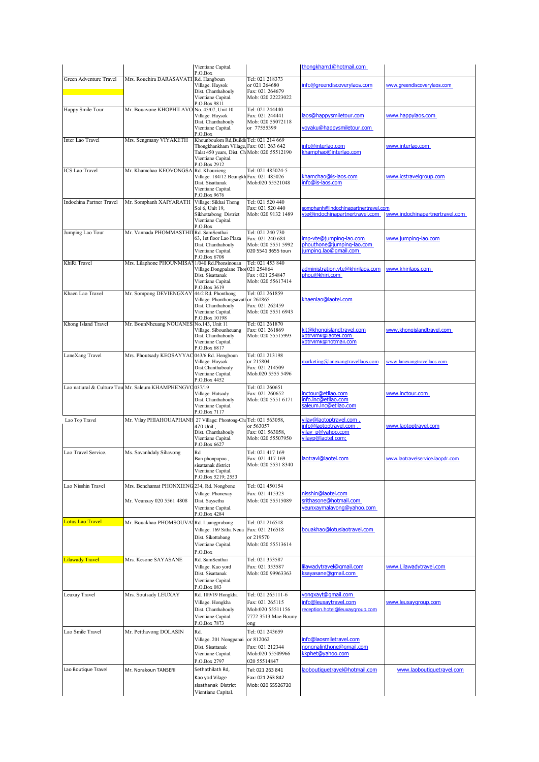|                                 |                                                                         | Vientiane Capital.<br>P.O.Box                                                                                                                                          |                                                                                        | thongkham1@hotmail.com                                                                       |                                                               |
|---------------------------------|-------------------------------------------------------------------------|------------------------------------------------------------------------------------------------------------------------------------------------------------------------|----------------------------------------------------------------------------------------|----------------------------------------------------------------------------------------------|---------------------------------------------------------------|
| Green Adventure Travel          | Mrs. Rouchira DARASAVATHRd. Hangboun                                    | Village. Haysok<br>Dist. Chanthabouly<br>Vientiane Capital.<br>P.O.Box 9811                                                                                            | Tel: 021 218373<br>or 021 264680<br>Fax: 021 264679<br>Mob: 020 22223022               | info@greendiscoverylaos.com                                                                  | www.greendiscoverylaos.com                                    |
| Happy Smile Tour                | Mr. Bouavone KHOPHILAVO No. 45/07, Unit 10                              | Village. Haysok<br>Dist. Chanthabouly<br>Vientiane Capital.<br>P.O.Box                                                                                                 | Tel: 021 244440<br>Fax: 021 244441<br>Mob: 020 55072118<br>or 77555399                 | laos@happysmiletour.com<br>yoyaku@happysmiletour.com                                         | www.happylaos.com                                             |
| Inter Lao Travel                | Mrs. Sengmany VIYAKETH                                                  | Khounboulom Rd, Buildi Tel: 021 214 669<br>Thongkhankham Village Fax: 021 263 642<br>Talat 450 years, Dist. Ch Mob: 020 55512190<br>Vientiane Capital.<br>P.O.Box 2912 |                                                                                        | info@interlao.com<br>khamphao@interlao.com                                                   | www.interlao.com                                              |
| <b>ICS</b> Lao Travel           | Mr. Khamchao KEOVONGSA                                                  | Rd. Khouvieng<br>Village. 184/12 Beungkh<br>Dist. Sisattanak<br>Vientiane Capital.<br>P.O.Box 9676                                                                     | Tel: 021 485024-5<br>Fax: 021 485026<br>Mob:020 55521048                               | khamchao@is-laos.com<br>info@is-laos.com                                                     | www.icstravelgroup.com                                        |
| <b>Indochina Partner Travel</b> | Mr. Somphanh XAIYARATH                                                  | Village: Sikhai Thong<br>Soi 6, Unit 19,<br>Sikhottabong District<br>Vientiane Capital.<br>P.O.Box                                                                     | Tel: 021 520 440<br>Fax: 021 520 440<br>Mob: 020 9132 1489                             | somphanh@indochinapartnertravel.com                                                          | vte@indochinapartnertravel.com www.indochinapartnertravel.com |
| Jumping Lao Tour                | Mr. Vannada PHOMMASTHI                                                  | Rd. SamSenthai<br>63. 1st floor Lao Plaza<br>Dist. Chanthabouly<br>Vientiane Capital.<br>P.O.Box 6708                                                                  | Tel: 021 240 730<br>Fax: 021 240 684<br>Mob: 020 5551 5992<br>020 5541 3655 toun       | imp-vte@jumping-lao.com<br>phouthone@jumping-lao.com<br>jumping.lao@gmail.com                | www.jumping-lao.com                                           |
| KhiRi Travel                    | Mrs. Lilaphone PHOUNMISA                                                | 1/040 Rd.Phonsinouan<br>Village.Dongpalane Thoi 021 254864<br>Dist. Sisattanak<br>Vientiane Capital.<br>P.O.Box 3619                                                   | Tel: 021 453 840<br>Fax: 021 254847<br>Mob: 020 55617414                               | administration.vte@khirilaos.com<br>phou@khiri.com                                           | www.khirilaos.com                                             |
| Khaen Lao Travel                | Mr. Sompong DEVIENGXAY                                                  | 44/2 Rd. Phonthong<br>Village. Phonthongsavatl<br>Dist. Chanthabouly<br>Vientiane Capital.<br>P.O.Box 10198                                                            | Tel: 021 261859<br>or 261865<br>Fax: 021 262459<br>Mob: 020 5551 6943                  | khaenlao@laotel.com                                                                          |                                                               |
| Khong Island Travel             | Mr. BounNheuang NOUANES                                                 | No.143, Unit 11<br>Village. Sibounheuang<br>Dist. Chanthabouly<br>Vientiane Capital.<br>P.O.Box 6817                                                                   | Tel: 021 261870<br>Fax: 021 261869<br>Mob: 020 55515993                                | kit@khongislandtravel.com<br>xbtrvlmk@laotel.com<br>xbtrvlmk@hotmail.com                     | www.khongislandtravel.com                                     |
| LaneXang Travel                 | Mrs. Phoutsady KEOSAYYA0                                                | 043/6 Rd. Hengboun<br>Village. Haysok<br>Dist.Chanthabouly<br>Vientiane Capital.<br>P.O.Box 4452                                                                       | Tel: 021 213198<br>or 215804<br>Fax: 021 214509<br>Mob.020 5555 5496                   | marketing@lanexangtravellaos.com                                                             | www.lanexangtravellaos.com                                    |
|                                 | Lao natiural & Culture Tou Mr. Saleum KHAMPHENGVO                       | 037/19<br>Village. Hatsady<br>Dist. Chanthabouly<br>Vientiane Capital.<br>P.O.Box 7117                                                                                 | Tel: 021 260651<br>Fax: 021 260652<br>Mob: 020 5551 6171                               | Inctour@etllao.com<br>info.Inc@etllao.com<br>saleum.Inc@etllao.com                           | www.lnctour.com                                               |
| Lao Top Travel                  | Mr. Vilay PHIAHOUAPHANE                                                 | 27 Village: Phontong-Ch<br>470 Unit.<br>Dist. Chanthabouly<br>Vientiane Capital.<br>P.O.Box 6627                                                                       | Tel: 021 563058,<br>or 563057<br>Fax: 021 563058,<br>Mob: 020 55507950                 | vilay@laotoptravel.com,<br>info@laotoptravel.com,<br>vilay p@yahoo.com<br>vilayp@laotel.com; | www.laotoptravel.com                                          |
| Lao Travel Service.             | Ms. Savanhdaly Sihavong                                                 | Rd<br>Ban phonpapao,<br>sisattanak district<br>Vientiane Capital.<br>P.O.Box 5219; 2553                                                                                | Tel: 021 417 169<br>Fax: 021 417 169<br>Mob: 020 5531 8340                             | laotravl@laotel.com                                                                          | www.laotravelservice.laopdr.com                               |
| Lao Nisshin Travel              | Mrs. Benchamat PHONXIENG 234, Rd. Nongbone<br>Mr. Veunxay 020 5561 4808 | Village. Phonexay<br>Dist. Saysetha<br>Vientiane Capital.<br>P.O.Box 4284                                                                                              | Tel: 021 450154<br>Fax: 021 415323<br>Mob: 020 55515089                                | nisshin@laotel.com<br>srithasone@hotmail.com<br>veunxaymalavong@yahoo.com                    |                                                               |
| <b>Lotus Lao Travel</b>         | Mr. Bouakhao PHOMSOUVA                                                  | Rd. Luangprabang<br>Village. 169 Sitha Neua<br>Dist. Sikottabang<br>Vientiane Capital.<br>P.O.Box                                                                      | Tel: 021 216518<br>Fax: 021 216518<br>or 219570<br>Mob: 020 55513614                   | bouakhao@lotuslaotravel.com                                                                  |                                                               |
| Lilawady Travel                 | Mrs. Kesone SAYASANE                                                    | Rd. SamSenthai<br>Village. Kao yord<br>Dist. Sisattanak<br>Vientiane Capital.<br>P.O.Box 083                                                                           | Tel: 021 353587<br>Fax: 021 353587<br>Mob: 020 99963363                                | lilawadytravel@gmail.com<br>ksayasane@gmail.com                                              | www.Lilawadytravel.com                                        |
| Leuxay Travel                   | Mrs. Soutsady LEUXAY                                                    | Rd. 189/19 Hongkha<br>Village. Hongkha<br>Dist. Chanthabouly<br>Vientiane Capital.<br>P.O.Box 7873                                                                     | Tel: 021 265111-6<br>Fax: 021 265115<br>Mob:020 55511156<br>7772 3513 Mae Bouny<br>ong | vongxayt@gmail.com<br>info@leuxaytravel.com<br>reception.hotel@leuxaygroup.com               | www.leuxaygroup.com                                           |
| Lao Smile Travel                | Mr. Petthavong DOLASIN                                                  | Rd.<br>Village. 201 Nongpanai<br>Dist. Sisattanak<br>Vientiane Capital.<br>P.O.Box 2797                                                                                | Tel: 021 243659<br>or 812062<br>Fax: 021 212344<br>Mob:020 55509966<br>020 55514847    | info@laosmiletravel.com<br>nongnalinthone@gmail.com<br>kkphet@yahoo.com                      |                                                               |
| Lao Boutique Travel             | Mr. Norakoun TANSERI                                                    | Sethathilath Rd,<br>Kao yod Vilage<br>sisathanak District<br>Vientiane Capital.                                                                                        | Tel: 021 263 841<br>Fax: 021 263 842<br>Mob: 020 55526720                              | laoboutiquetravel@hotmail.com                                                                | www.laoboutiquetravel.com                                     |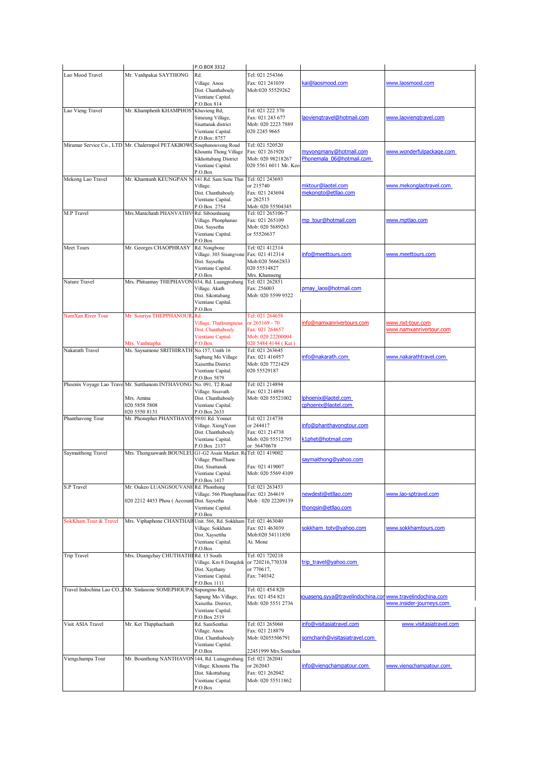|                       |                                                                                                  | P.O.BOX 3312                                                                                                          |                                                                                                  |                                                          |                                             |
|-----------------------|--------------------------------------------------------------------------------------------------|-----------------------------------------------------------------------------------------------------------------------|--------------------------------------------------------------------------------------------------|----------------------------------------------------------|---------------------------------------------|
| Lao Mood Travel       | Mr. Vanhpakai SAYTHONG                                                                           | Rd.<br>Village. Anou<br>Dist. Chanthabouly<br>Vientiane Capital.<br>P.O.Box 814                                       | Tel: 021 254366<br>Fax: 021 241039<br>Mob:020 55529262                                           | kai@laosmood.com                                         | www.laosmood.com                            |
| Lao Vieng Travel      | Mr. Khamphenh KHAMPHOS                                                                           | Khuvieng Rd,<br>Simeung Village,<br>Sisattanak district<br>Vientiane Capital.<br>P.O.Box: 8757                        | Tel: 021 222 370<br>Fax: 021 243 677<br>Mob: 020 2223 7889<br>020 2245 9665                      | laoviengtravel@hotmail.com                               | www.laoviengtravel.com                      |
|                       | Miramar Service Co., LTD Mr. Chalermpol PETAKBOW                                                 | Souphanouvong Road<br>Khounta Thong Village<br>Sikhottabang District<br>Vientiane Capital.<br>P.O.Box                 | Tel: 021 520520<br>Fax: 021 261920<br>Mob: 020 98218267<br>020 5561 6011 Mr. Keo                 | myvongmany@hotmail.com<br>Phonemala 06@hotmail.com       | www.wonderfulpackage.com                    |
| Mekong Lao Travel     | Mr. Khamtanh KEUNGPAN N                                                                          | 141 Rd. Sam Sene Thai<br>Village.<br>Dist. Chanthabouly<br>Vientiane Capital.<br>P.O.Box 2754                         | Tel: 021 243693<br>or 215740<br>Fax: 021 243694<br>or 262515<br>Mob: 020 55504345                | mktour@laotel.com<br>mekongto@etllao.com                 | www.mekonglaotravel.com                     |
| M.P Travel            | Mrs. Manichanh PHANVATHV                                                                         | Rd. Sibounhuang<br>Village. Phonphanao<br>Dist. Saysetha<br>Vientiane Capital.<br>P.O.Box                             | Tel: 021 265106-7<br>Fax: 021 265109<br>Mob: 020 5689263<br>or 55526637                          | mp_tour@hotmail.com                                      | www.mptlao.com                              |
| Meet Tours            | Mr. Georges CHAOPHRASY                                                                           | Rd. Nongbone<br>Village. 303 Sisangvone<br>Dist. Saysetha<br>Vientiane Capital.<br>P.O.Box                            | Tel: 021 412314<br>Fax: 021 412314<br>Mob:020 56662833<br>020 55514827<br>Mrs. Khamseng          | info@meettours.com                                       | www.meettours.com                           |
| Nature Travel         | Mrs. Phitsamay THEPHAVON                                                                         | 034, Rd. Luangprabang<br>Village. Akath<br>Dist. Sikottabang<br>Vientiane Capital.<br>P.O.Box                         | Tel: 021 262851<br>Fax: 256003<br>Mob: 020 5599 9522                                             | pmay laos@hotmail.com                                    |                                             |
| NamXan River Tour     | Mr. Souriya THEPPHANOUR<br>Mrs. Vanhnapha                                                        | Rd.<br>Village. Thatloungneua<br>Dist. Chanthabouly<br>Vientiane Capital.<br>P.O.Box                                  | Tel: 021 264658<br>or 265169 - 70<br>Fax: 021 264657<br>Mob: 020 22200004<br>020 5484 4144 (Kai) | info@namxanrivertours.com                                | www.nxt-tour.com<br>www.namxanrivertour.com |
| Nakarath Travel       | Ms. Saysamone SRITHIRATH No.157, Unith 16                                                        | Saphung Mo Village<br>Xaisettha District<br>Vientiane Capital.<br>P.O.Box 5879                                        | Tel: 021 263645<br>Fax: 021 416957<br>Mob: 020 7721429<br>020 55529187                           | info@nakarath.com                                        | www.nakarathtravel.com                      |
|                       | Phoenix Voyage Lao Trave Mr. Sutthanom INTHAVONG<br>Mrs. Amina<br>020 5858 5808<br>020 5550 8131 | No. 091, T2 Road<br>Village. Sisavath<br>Dist. Chanthabouly<br>Vientiane Capital.<br>P.O.Box 2633                     | Tel: 021 214894<br>Fax: 021 214894<br>Mob: 020 55521002                                          | Iphoenix@laotel.com<br>cphoenix@laotel.com               |                                             |
| Phanthavong Tour      | Mr. Phonephet PHANTHAVO                                                                          | 59/01 Rd. Yonnet<br>Village. XiengYeun<br>Dist. Chanthabouly<br>Vientiane Capital.<br>P.O.Box 2137                    | Tel: 021 214738<br>or 244417<br>Fax: 021 214738<br>Mob: 020 55512795<br>or 56470678              | info@phanthavongtour.com<br>k1phet@hotmail.com           |                                             |
| Saymaithong Travel    | Mrs. Thongsawanh BOUNLEU                                                                         | G1-G2 Asain Market. ReTel: 021 419002<br>Village. PhonThane<br>Dist. Sisattanak<br>Vientiane Capital.<br>P.O.Box 1417 | Fax: 021 419007<br>Mob: 020 5569 4109                                                            | saymaithong@yahoo.com                                    |                                             |
| <b>S.P Travel</b>     | Mr. Oukeo LUANGSOUVANI<br>020 2212 4453 Phou ( Account Dist. Saysetha                            | Rd. Phonthong<br>Village. 566 Phonphanao Fax: 021 264619<br>Vientiane Capital.<br>P.O.Box                             | Tel: 021 263453<br>Mob: 020 22209139                                                             | newdesti@etllao.com<br>thongsin@etllao.com               | www.lao-sptravel.com                        |
| SokKham Tour & Travel | Mrs. Viphaphone CHANTHAB Unit. 566, Rd. Sokkham                                                  | Village. Sokkham<br>Dist. Xaysettha<br>Vientiane Capital.<br>P.O.Box                                                  | Tel: 021 463040<br>Fax: 021 463039<br>Mob:020 54111850<br>Ai. Mone                               | sokkham_totv@yahoo.com                                   | www.sokkhamtours.com                        |
| <b>Trip Travel</b>    | Mrs. Duangchay CHUTHATHI                                                                         | Rd. 13 South<br>Village. Km 8 Dongdok<br>Dist. Xaythany<br>Vientiane Capital.<br>P.O.Box 1111                         | Tel: 021 720218<br>or 720216,770338<br>or 770617,<br>Fax: 740342                                 | trip_travel@yahoo.com                                    |                                             |
|                       | Travel Indochina Lao CO., IMr. Sinlasone SOMEPHOUP,                                              | Sapungmo Rd,<br>Sapung Mo Village,<br>Xaisetha District,<br>Vientiane Capital.<br>P.O.Box 2519                        | Tel: 021 454 820<br>Fax: 021 454 821<br>Mob: 020 5551 2736                                       | ouaseng.syya@travelindochina.con www.travelindochina.com | www.insider-journeys.com                    |
| Visit ASIA Travel     | Mr. Ket Thipphachanh                                                                             | Rd. SamSenthai<br>Village. Anou<br>Dist. Chanthabouly<br>Vientiane Capital.<br>P.O.Box                                | Tel: 021 265060<br>Fax: 021 218879<br>Mob: 02055506791<br>22451999 Mrs.Somchan                   | info@visitasiatravel.com<br>somchanh@visitasiatravel.com | www.visitasiatravel.com                     |
| Viengchampa Tour      | Mr. Bounthong NANTHAVON 144, Rd. Lunagprabang                                                    | Village. Khounta Tha<br>Dist. Sikottabang<br>Vientiane Capital.<br>P.O.Box                                            | Tel: 021 262041<br>or 262043<br>Fax: 021 262042<br>Mob: 020 55511862                             | info@viengchampatour.com                                 | www.viengchampatour.com                     |